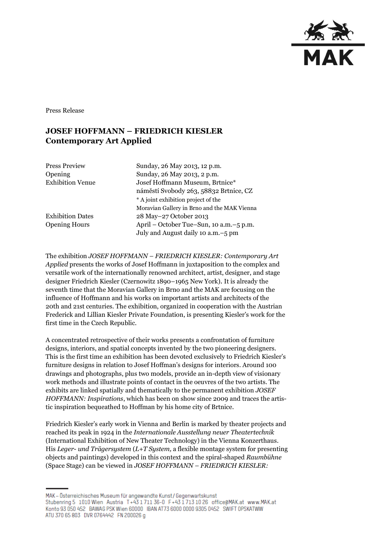

Press Release

## **JOSEF HOFFMANN – FRIEDRICH KIESLER Contemporary Art Applied**

Press Preview Sunday, 26 May 2013, 12 p.m.

Opening Sunday, 26 May 2013, 2 p.m. Exhibition Venue Josef Hoffmann Museum, Brtnice\* náměstí Svobody 263, 58832 Brtnice, CZ \* A joint exhibition project of the Moravian Gallery in Brno and the MAK Vienna Exhibition Dates 28 May–27 October 2013 Opening Hours April – October Tue–Sun, 10 a.m.–5 p.m. July and August daily 10 a.m.–5 pm

The exhibition *JOSEF HOFFMANN – FRIEDRICH KIESLER: Contemporary Art Applied* presents the works of Josef Hoffmann in juxtaposition to the complex and versatile work of the internationally renowned architect, artist, designer, and stage designer Friedrich Kiesler (Czernowitz 1890–1965 New York). It is already the seventh time that the Moravian Gallery in Brno and the MAK are focusing on the influence of Hoffmann and his works on important artists and architects of the 20th and 21st centuries. The exhibition, organized in cooperation with the Austrian Frederick and Lillian Kiesler Private Foundation, is presenting Kiesler's work for the first time in the Czech Republic.

A concentrated retrospective of their works presents a confrontation of furniture designs, interiors, and spatial concepts invented by the two pioneering designers. This is the first time an exhibition has been devoted exclusively to Friedrich Kiesler's furniture designs in relation to Josef Hoffman's designs for interiors. Around 100 drawings and photographs, plus two models, provide an in-depth view of visionary work methods and illustrate points of contact in the oeuvres of the two artists. The exhibits are linked spatially and thematically to the permanent exhibition *JOSEF HOFFMANN: Inspirations*, which has been on show since 2009 and traces the artistic inspiration bequeathed to Hoffman by his home city of Brtnice.

Friedrich Kiesler's early work in Vienna and Berlin is marked by theater projects and reached its peak in 1924 in the *Internationale Ausstellung neuer Theatertechnik* (International Exhibition of New Theater Technology) in the Vienna Konzerthaus. His *Leger- und Trägersystem* (*L+T System,* a flexible montage system for presenting objects and paintings) developed in this context and the spiral-shaped *Raumbühne*  (Space Stage) can be viewed in *JOSEF HOFFMANN – FRIEDRICH KIESLER:* 

MAK – Österreichisches Museum für angewandte Kunst/Gegenwartskunst Stubenring 5 1010 Wien Austria T+43 1711 36-0 F+43 1713 10 26 office@MAK.at www.MAK.at Konto 93 050 452 BAWAG PSK Wien 60000 IBAN AT73 6000 0000 9305 0452 SWIFT OPSKATWW ATU 370 65 803 DVR 0764442 FN 200026 g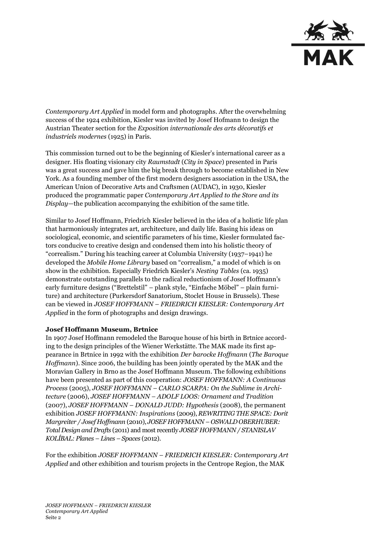

*Contemporary Art Applied* in model form and photographs. After the overwhelming success of the 1924 exhibition, Kiesler was invited by Josef Hofmann to design the Austrian Theater section for the *Exposition internationale des arts décoratifs et industriels modernes* (1925) in Paris.

This commission turned out to be the beginning of Kiesler's international career as a designer. His floating visionary city *Raumstadt* (*City in Space*) presented in Paris was a great success and gave him the big break through to become established in New York. As a founding member of the first modern designers association in the USA, the American Union of Decorative Arts and Craftsmen (AUDAC), in 1930, Kiesler produced the programmatic paper *Contemporary Art Applied to the Store and its Display—*the publication accompanying the exhibition of the same title.

Similar to Josef Hoffmann, Friedrich Kiesler believed in the idea of a holistic life plan that harmoniously integrates art, architecture, and daily life. Basing his ideas on sociological, economic, and scientific parameters of his time, Kiesler formulated factors conducive to creative design and condensed them into his holistic theory of "correalism." During his teaching career at Columbia University (1937–1941) he developed the *Mobile Home Library* based on "correalism," a model of which is on show in the exhibition. Especially Friedrich Kiesler's *Nesting Tables* (ca. 1935) demonstrate outstanding parallels to the radical reductionism of Josef Hoffmann's early furniture designs ("Brettelstil" – plank style, "Einfache Möbel" – plain furniture) and architecture (Purkersdorf Sanatorium, Stoclet House in Brussels). These can be viewed in *JOSEF HOFFMANN – FRIEDRICH KIESLER: Contemporary Art Applied* in the form of photographs and design drawings.

## **Josef Hoffmann Museum, Brtnice**

In 1907 Josef Hoffmann remodeled the Baroque house of his birth in Brtnice according to the design principles of the Wiener Werkstätte. The MAK made its first appearance in Brtnice in 1992 with the exhibition *Der barocke Hoffmann* (*The Baroque Hoffmann*). Since 2006, the building has been jointly operated by the MAK and the Moravian Gallery in Brno as the Josef Hoffmann Museum. The following exhibitions have been presented as part of this cooperation: *JOSEF HOFFMANN: A Continuous Process* (2005), *JOSEF HOFFMANN – CARLO SCARPA: On the Sublime in Architecture* (2006), *JOSEF HOFFMANN – ADOLF LOOS: Ornament and Tradition* (2007), *JOSEF HOFFMANN – DONALD JUDD: Hypothesis* (2008), the permanent exhibition *JOSEF HOFFMANN: Inspirations* (2009), *REWRITING THE SPACE: Dorit Margreiter / Josef Hoffmann* (2010), *JOSEF HOFFMANN – OSWALD OBERHUBER: Total Design and Drafts* (2011) and most recently *JOSEF HOFFMANN / STANISLAV KOLÍBAL: Planes – Lines – Spaces* (2012).

For the exhibition *JOSEF HOFFMANN – FRIEDRICH KIESLER: Contemporary Art Applied* and other exhibition and tourism projects in the Centrope Region, the MAK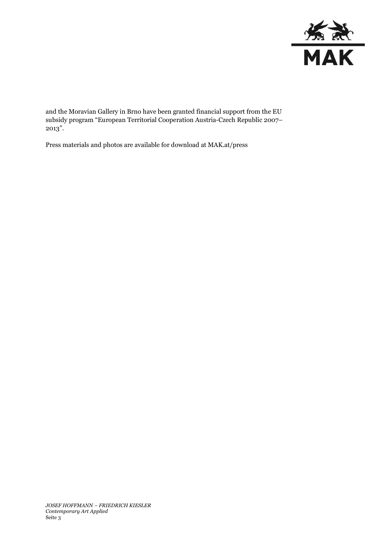

and the Moravian Gallery in Brno have been granted financial support from the EU subsidy program "European Territorial Cooperation Austria-Czech Republic 2007– 2013".

Press materials and photos are available for download at MAK.at/press